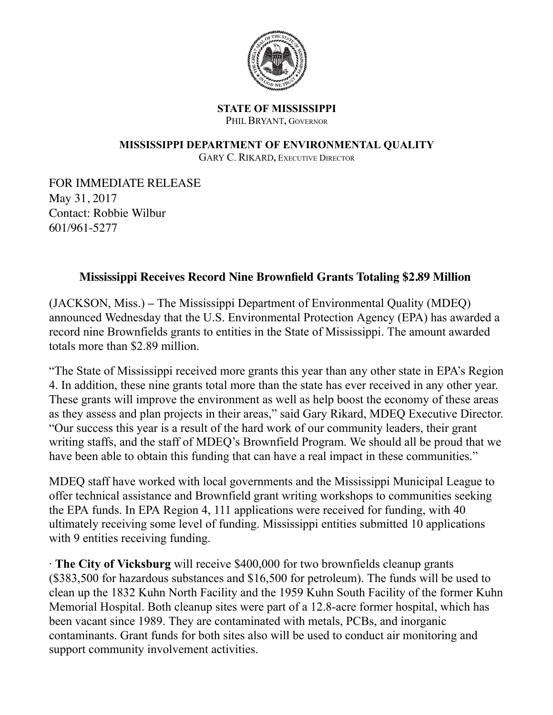

## **STATE OF MISSISSIPPI** PHIL BRYANT, GOVERNOR

## **MISSISSIPPI DEPARTMENT OF ENVIRONMENTAL QUALITY**

GARY C. RIKARD**,** EXECUTIVE DIRECTOR

FOR IMMEDIATE RELEASE May 31, 2017 Contact: Robbie Wilbur 601/961-5277

## **Mississippi Receives Record Nine Brownfield Grants Totaling \$2.89 Million**

(JACKSON, Miss.) **–** The Mississippi Department of Environmental Quality (MDEQ) announced Wednesday that the U.S. Environmental Protection Agency (EPA) has awarded a record nine Brownfields grants to entities in the State of Mississippi. The amount awarded totals more than \$2.89 million.

"The State of Mississippi received more grants this year than any other state in EPA's Region 4. In addition, these nine grants total more than the state has ever received in any other year. These grants will improve the environment as well as help boost the economy of these areas as they assess and plan projects in their areas," said Gary Rikard, MDEQ Executive Director. "Our success this year is a result of the hard work of our community leaders, their grant writing staffs, and the staff of MDEQ's Brownfield Program. We should all be proud that we have been able to obtain this funding that can have a real impact in these communities."

MDEQ staff have worked with local governments and the Mississippi Municipal League to offer technical assistance and Brownfield grant writing workshops to communities seeking the EPA funds. In EPA Region 4, 111 applications were received for funding, with 40 ultimately receiving some level of funding. Mississippi entities submitted 10 applications with 9 entities receiving funding.

· **The City of Vicksburg** will receive \$400,000 for two brownfields cleanup grants (\$383,500 for hazardous substances and \$16,500 for petroleum). The funds will be used to clean up the 1832 Kuhn North Facility and the 1959 Kuhn South Facility of the former Kuhn Memorial Hospital. Both cleanup sites were part of a 12.8-acre former hospital, which has been vacant since 1989. They are contaminated with metals, PCBs, and inorganic contaminants. Grant funds for both sites also will be used to conduct air monitoring and support community involvement activities.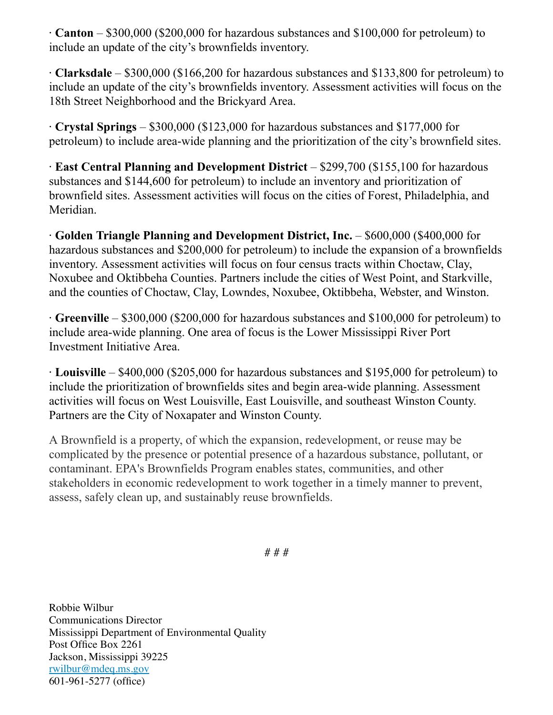· **Canton** – \$300,000 (\$200,000 for hazardous substances and \$100,000 for petroleum) to include an update of the city's brownfields inventory.

· **Clarksdale** – \$300,000 (\$166,200 for hazardous substances and \$133,800 for petroleum) to include an update of the city's brownfields inventory. Assessment activities will focus on the 18th Street Neighborhood and the Brickyard Area.

· **Crystal Springs** – \$300,000 (\$123,000 for hazardous substances and \$177,000 for petroleum) to include area-wide planning and the prioritization of the city's brownfield sites.

· **East Central Planning and Development District** – \$299,700 (\$155,100 for hazardous substances and \$144,600 for petroleum) to include an inventory and prioritization of brownfield sites. Assessment activities will focus on the cities of Forest, Philadelphia, and Meridian.

· **Golden Triangle Planning and Development District, Inc.** – \$600,000 (\$400,000 for hazardous substances and \$200,000 for petroleum) to include the expansion of a brownfields inventory. Assessment activities will focus on four census tracts within Choctaw, Clay, Noxubee and Oktibbeha Counties. Partners include the cities of West Point, and Starkville, and the counties of Choctaw, Clay, Lowndes, Noxubee, Oktibbeha, Webster, and Winston.

· **Greenville** – \$300,000 (\$200,000 for hazardous substances and \$100,000 for petroleum) to include area-wide planning. One area of focus is the Lower Mississippi River Port Investment Initiative Area.

· **Louisville** – \$400,000 (\$205,000 for hazardous substances and \$195,000 for petroleum) to include the prioritization of brownfields sites and begin area-wide planning. Assessment activities will focus on West Louisville, East Louisville, and southeast Winston County. Partners are the City of Noxapater and Winston County.

A Brownfield is a property, of which the expansion, redevelopment, or reuse may be complicated by the presence or potential presence of a hazardous substance, pollutant, or contaminant. EPA's Brownfields Program enables states, communities, and other stakeholders in economic redevelopment to work together in a timely manner to prevent, assess, safely clean up, and sustainably reuse brownfields.

# # #

Robbie Wilbur Communications Director Mississippi Department of Environmental Quality Post Office Box 2261 Jackson, Mississippi 39225 [rwilbur@mdeq.ms.gov](mailto:rwilbur@mdeq.ms.gov) 601-961-5277 (office)